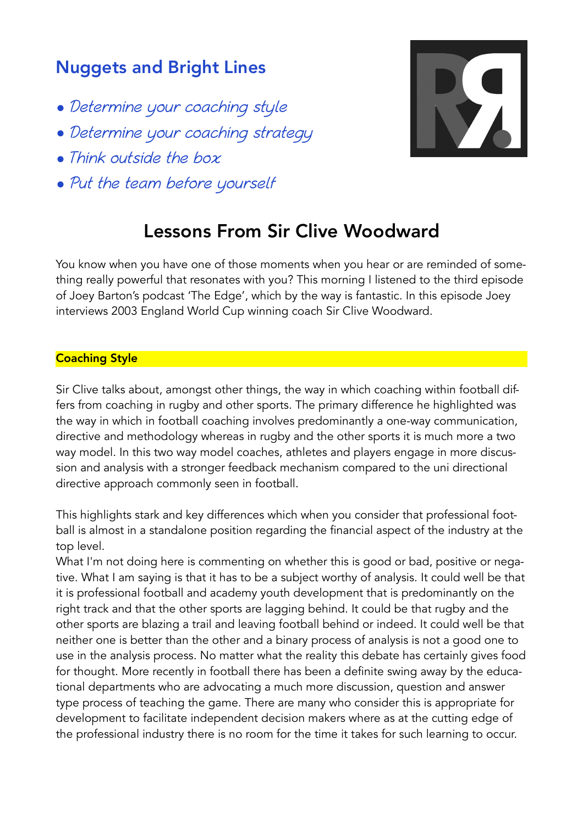## Nuggets and Bright Lines

- Determine your coaching style
- Determine your coaching strategy
- Think outside the box
- Put the team before yourself



# Lessons From Sir Clive Woodward

You know when you have one of those moments when you hear or are reminded of something really powerful that resonates with you? This morning I listened to the third episode of Joey Barton's podcast 'The Edge', which by the way is fantastic. In this episode Joey interviews 2003 England World Cup winning coach Sir Clive Woodward.

### Coaching Style

Sir Clive talks about, amongst other things, the way in which coaching within football differs from coaching in rugby and other sports. The primary difference he highlighted was the way in which in football coaching involves predominantly a one-way communication, directive and methodology whereas in rugby and the other sports it is much more a two way model. In this two way model coaches, athletes and players engage in more discussion and analysis with a stronger feedback mechanism compared to the uni directional directive approach commonly seen in football.

This highlights stark and key differences which when you consider that professional football is almost in a standalone position regarding the financial aspect of the industry at the top level.

What I'm not doing here is commenting on whether this is good or bad, positive or negative. What I am saying is that it has to be a subject worthy of analysis. It could well be that it is professional football and academy youth development that is predominantly on the right track and that the other sports are lagging behind. It could be that rugby and the other sports are blazing a trail and leaving football behind or indeed. It could well be that neither one is better than the other and a binary process of analysis is not a good one to use in the analysis process. No matter what the reality this debate has certainly gives food for thought. More recently in football there has been a definite swing away by the educational departments who are advocating a much more discussion, question and answer type process of teaching the game. There are many who consider this is appropriate for development to facilitate independent decision makers where as at the cutting edge of the professional industry there is no room for the time it takes for such learning to occur.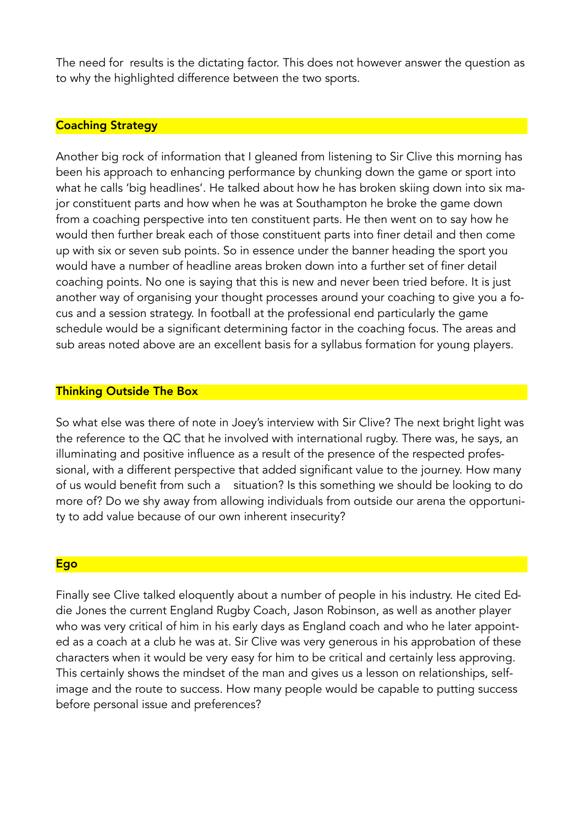The need for results is the dictating factor. This does not however answer the question as to why the highlighted difference between the two sports.

#### Coaching Strategy

Another big rock of information that I gleaned from listening to Sir Clive this morning has been his approach to enhancing performance by chunking down the game or sport into what he calls 'big headlines'. He talked about how he has broken skiing down into six major constituent parts and how when he was at Southampton he broke the game down from a coaching perspective into ten constituent parts. He then went on to say how he would then further break each of those constituent parts into finer detail and then come up with six or seven sub points. So in essence under the banner heading the sport you would have a number of headline areas broken down into a further set of finer detail coaching points. No one is saying that this is new and never been tried before. It is just another way of organising your thought processes around your coaching to give you a focus and a session strategy. In football at the professional end particularly the game schedule would be a significant determining factor in the coaching focus. The areas and sub areas noted above are an excellent basis for a syllabus formation for young players.

#### Thinking Outside The Box

So what else was there of note in Joey's interview with Sir Clive? The next bright light was the reference to the QC that he involved with international rugby. There was, he says, an illuminating and positive influence as a result of the presence of the respected professional, with a different perspective that added significant value to the journey. How many of us would benefit from such a situation? Is this something we should be looking to do more of? Do we shy away from allowing individuals from outside our arena the opportunity to add value because of our own inherent insecurity?

#### **Ego**

Finally see Clive talked eloquently about a number of people in his industry. He cited Eddie Jones the current England Rugby Coach, Jason Robinson, as well as another player who was very critical of him in his early days as England coach and who he later appointed as a coach at a club he was at. Sir Clive was very generous in his approbation of these characters when it would be very easy for him to be critical and certainly less approving. This certainly shows the mindset of the man and gives us a lesson on relationships, selfimage and the route to success. How many people would be capable to putting success before personal issue and preferences?